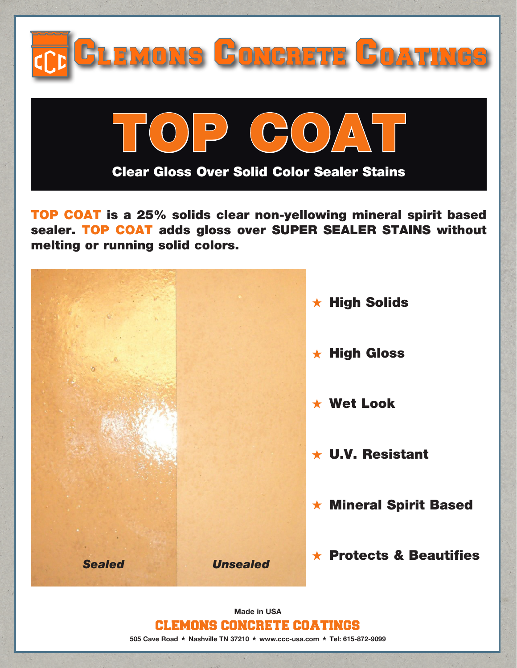

TOP COAT is a 25% solids clear non-yellowing mineral spirit based sealer. TOP COAT adds gloss over SUPER SEALER STAINS without melting or running solid colors.



CLEMONS CONCRETE COATINGS 505 Cave Road  $\star$  Nashville TN 37210  $\star$  www.ccc-usa.com  $\star$  Tel: 615-872-9099